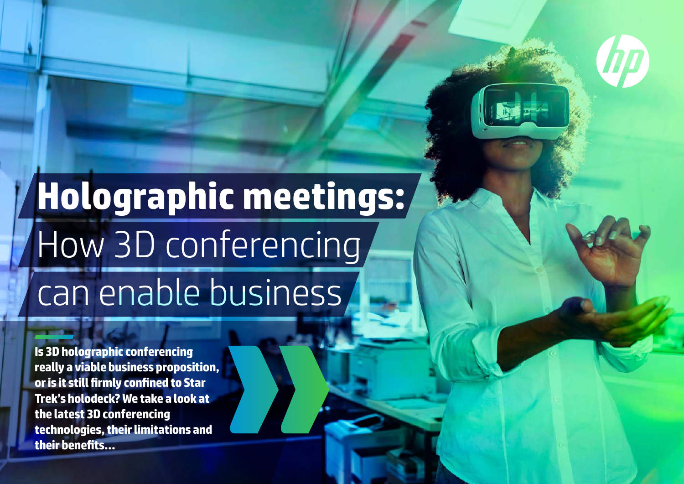## **Holographic meetings:** How 3D conferencing can enable business

**Is 3D holographic conferencing really a viable business proposition, or is it still firmly confined to Star Trek's holodeck? We take a look at the latest 3D conferencing technologies, their limitations and their benefits…**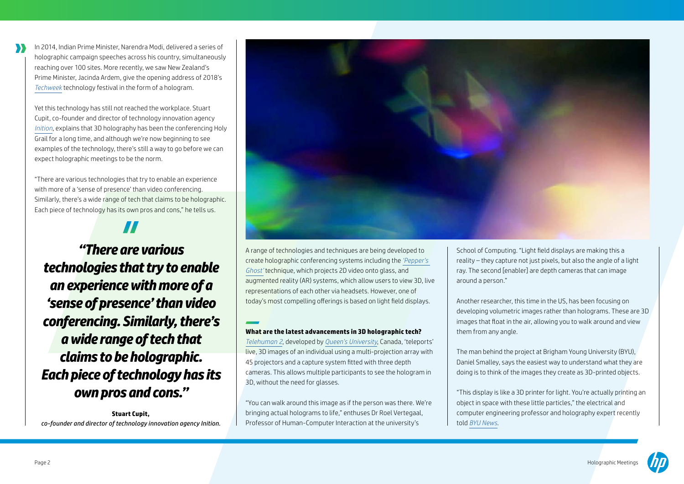In 2014, Indian Prime Minister, Narendra Modi, delivered a series of holographic campaign speeches across his country, simultaneously reaching over 100 sites. More recently, we saw New Zealand's Prime Minister, Jacinda Ardem, give the opening address of 2018's *Techweek* technology festival in the form of a hologram.

Yet this technology has still not reached the workplace. Stuart Cupit, co-founder and director of technology innovation agency *Inition*, explains that 3D holography has been the conferencing Holy Grail for a long time, and although we're now beginning to see examples of the technology, there's still a way to go before we can expect holographic meetings to be the norm.

"There are various technologies that try to enable an experience with more of a 'sense of presence' than video conferencing. Similarly, there's a wide range of tech that claims to be holographic. Each piece of technology has its own pros and cons," he tells us.

*"There are various technologies that try to enable an experience with more of a 'sense of presence' than video conferencing. Similarly, there's a wide range of tech that claims to be holographic. Each piece of technology has its own pros and cons."* 

**Stuart Cupit,**  *co-founder and director of technology innovation agency Inition.*



A range of technologies and techniques are being developed to create holographic conferencing systems including the *'Pepper's Ghost'* technique, which projects 2D video onto glass, and augmented reality (AR) systems, which allow users to view 3D, live representations of each other via headsets. However, one of today's most compelling offerings is based on light field displays.

## **What are the latest advancements in 3D holographic tech?**

*Telehuman 2*, developed by *Queen's University*, Canada, 'teleports' live, 3D images of an individual using a multi-projection array with 45 projectors and a capture system fitted with three depth cameras. This allows multiple participants to see the hologram in 3D, without the need for glasses.

"You can walk around this image as if the person was there. We're bringing actual holograms to life," enthuses Dr Roel Vertegaal, Professor of Human-Computer Interaction at the university's

School of Computing. "Light field displays are making this a reality – they capture not just pixels, but also the angle of a light ray. The second [enabler] are depth cameras that can image around a person."

Another researcher, this time in the US, has been focusing on developing volumetric images rather than holograms. These are 3D images that float in the air, allowing you to walk around and view them from any angle.

The man behind the project at Brigham Young University (BYU), Daniel Smalley, says the easiest way to understand what they are doing is to think of the images they create as 3D-printed objects.

"This display is like a 3D printer for light. You're actually printing an object in space with these little particles," the electrical and computer engineering professor and holography expert recently told *BYU News*.